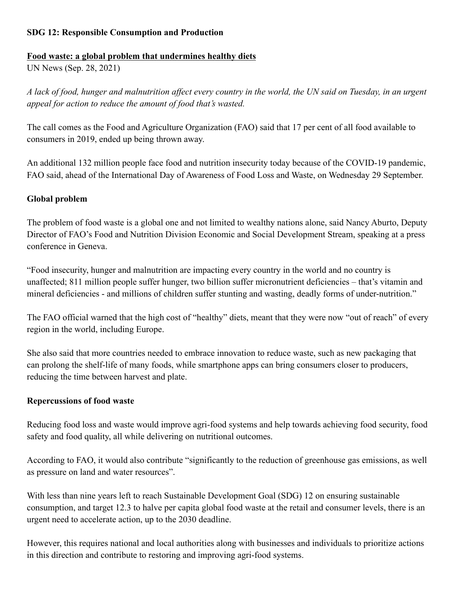## **SDG 12: Responsible Consumption and Production**

#### **Food waste: a global problem that undermines healthy diets**

UN News (Sep. 28, 2021)

*A lack of food, hunger and malnutrition affect every country in the world, the UN said on Tuesday, in an urgent appeal for action to reduce the amount of food that's wasted.*

The call comes as the Food and Agriculture Organization (FAO) said that 17 per cent of all food available to consumers in 2019, ended up being thrown away.

An additional 132 million people face food and nutrition insecurity today because of the COVID-19 pandemic, FAO said, ahead of the International Day of Awareness of Food Loss and Waste, on Wednesday 29 September.

## **Global problem**

The problem of food waste is a global one and not limited to wealthy nations alone, said Nancy Aburto, Deputy Director of FAO's Food and Nutrition Division Economic and Social Development Stream, speaking at a press conference in Geneva.

"Food insecurity, hunger and malnutrition are impacting every country in the world and no country is unaffected; 811 million people suffer hunger, two billion suffer micronutrient deficiencies – that's vitamin and mineral deficiencies - and millions of children suffer stunting and wasting, deadly forms of under-nutrition."

The FAO official warned that the high cost of "healthy" diets, meant that they were now "out of reach" of every region in the world, including Europe.

She also said that more countries needed to embrace innovation to reduce waste, such as new packaging that can prolong the shelf-life of many foods, while smartphone apps can bring consumers closer to producers, reducing the time between harvest and plate.

#### **Repercussions of food waste**

Reducing food loss and waste would improve agri-food systems and help towards achieving food security, food safety and food quality, all while delivering on nutritional outcomes.

According to FAO, it would also contribute "significantly to the reduction of greenhouse gas emissions, as well as pressure on land and water resources".

With less than nine years left to reach Sustainable Development Goal (SDG) 12 on ensuring sustainable consumption, and target 12.3 to halve per capita global food waste at the retail and consumer levels, there is an urgent need to accelerate action, up to the 2030 deadline.

However, this requires national and local authorities along with businesses and individuals to prioritize actions in this direction and contribute to restoring and improving agri-food systems.